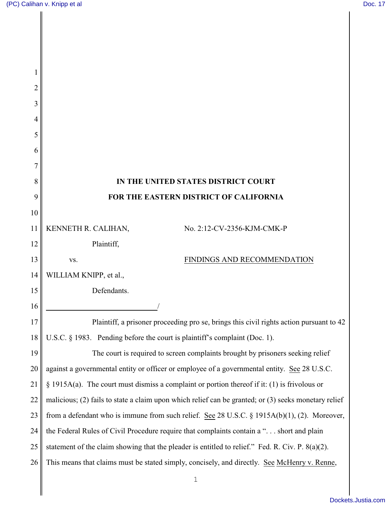$\mathbf{l}$ 

| $\overline{c}$ |                                                                                                      |
|----------------|------------------------------------------------------------------------------------------------------|
| 3              |                                                                                                      |
| 4              |                                                                                                      |
| 5              |                                                                                                      |
| 6              |                                                                                                      |
| 7              |                                                                                                      |
| 8              | IN THE UNITED STATES DISTRICT COURT                                                                  |
| 9              | FOR THE EASTERN DISTRICT OF CALIFORNIA                                                               |
| 10             |                                                                                                      |
| 11             | KENNETH R. CALIHAN,<br>No. 2:12-CV-2356-KJM-CMK-P                                                    |
| 12             | Plaintiff,                                                                                           |
| 13             | FINDINGS AND RECOMMENDATION<br>VS.                                                                   |
| 14             | WILLIAM KNIPP, et al.,                                                                               |
| 15             | Defendants.                                                                                          |
| 16             |                                                                                                      |
| 17             | Plaintiff, a prisoner proceeding pro se, brings this civil rights action pursuant to 42              |
| 18             | U.S.C. § 1983. Pending before the court is plaintiff's complaint (Doc. 1).                           |
| 19             | The court is required to screen complaints brought by prisoners seeking relief                       |
| 20             | against a governmental entity or officer or employee of a governmental entity. See 28 U.S.C.         |
| 21             | $\S$ 1915A(a). The court must dismiss a complaint or portion thereof if it: (1) is frivolous or      |
| 22             | malicious; (2) fails to state a claim upon which relief can be granted; or (3) seeks monetary relief |
| 23             | from a defendant who is immune from such relief. See 28 U.S.C. § 1915A(b)(1), (2). Moreover,         |
| 24             | the Federal Rules of Civil Procedure require that complaints contain a " short and plain             |
| 25             | statement of the claim showing that the pleader is entitled to relief." Fed. R. Civ. P. $8(a)(2)$ .  |
| 26             | This means that claims must be stated simply, concisely, and directly. See McHenry v. Renne,         |
|                | 1                                                                                                    |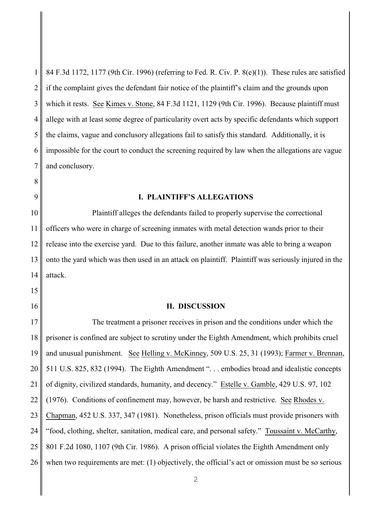1 2 3 4 5 6 7 84 F.3d 1172, 1177 (9th Cir. 1996) (referring to Fed. R. Civ. P. 8(e)(1)). These rules are satisfied if the complaint gives the defendant fair notice of the plaintiff's claim and the grounds upon which it rests. See Kimes v. Stone, 84 F.3d 1121, 1129 (9th Cir. 1996). Because plaintiff must allege with at least some degree of particularity overt acts by specific defendants which support the claims, vague and conclusory allegations fail to satisfy this standard. Additionally, it is impossible for the court to conduct the screening required by law when the allegations are vague and conclusory.

## **I. PLAINTIFF'S ALLEGATIONS**

Plaintiff alleges the defendants failed to properly supervise the correctional officers who were in charge of screening inmates with metal detection wands prior to their release into the exercise yard. Due to this failure, another inmate was able to bring a weapon onto the yard which was then used in an attack on plaintiff. Plaintiff was seriously injured in the attack.

## **II. DISCUSSION**

18 24 25 26 The treatment a prisoner receives in prison and the conditions under which the prisoner is confined are subject to scrutiny under the Eighth Amendment, which prohibits cruel and unusual punishment. See Helling v. McKinney, 509 U.S. 25, 31 (1993); Farmer v. Brennan, 511 U.S. 825, 832 (1994). The Eighth Amendment ". . . embodies broad and idealistic concepts of dignity, civilized standards, humanity, and decency." Estelle v. Gamble, 429 U.S. 97, 102 (1976). Conditions of confinement may, however, be harsh and restrictive. See Rhodes v. Chapman, 452 U.S. 337, 347 (1981). Nonetheless, prison officials must provide prisoners with "food, clothing, shelter, sanitation, medical care, and personal safety." Toussaint v. McCarthy, 801 F.2d 1080, 1107 (9th Cir. 1986). A prison official violates the Eighth Amendment only when two requirements are met: (1) objectively, the official's act or omission must be so serious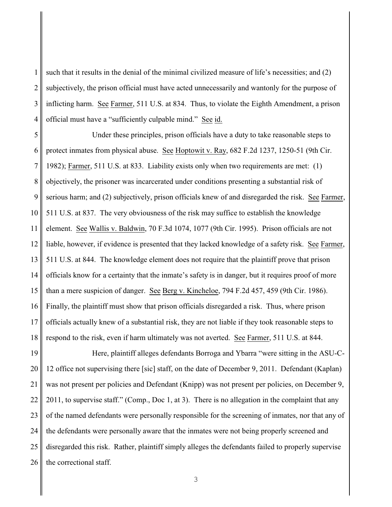1 2 3 4 such that it results in the denial of the minimal civilized measure of life's necessities; and (2) subjectively, the prison official must have acted unnecessarily and wantonly for the purpose of inflicting harm. See Farmer, 511 U.S. at 834. Thus, to violate the Eighth Amendment, a prison official must have a "sufficiently culpable mind." See id.

5 6 7 8 9 10 11 12 13 14 15 16 17 18 Under these principles, prison officials have a duty to take reasonable steps to protect inmates from physical abuse. See Hoptowit v. Ray, 682 F.2d 1237, 1250-51 (9th Cir. 1982); Farmer, 511 U.S. at 833. Liability exists only when two requirements are met: (1) objectively, the prisoner was incarcerated under conditions presenting a substantial risk of serious harm; and (2) subjectively, prison officials knew of and disregarded the risk. See Farmer, 511 U.S. at 837. The very obviousness of the risk may suffice to establish the knowledge element. See Wallis v. Baldwin, 70 F.3d 1074, 1077 (9th Cir. 1995). Prison officials are not liable, however, if evidence is presented that they lacked knowledge of a safety risk. See Farmer, 511 U.S. at 844. The knowledge element does not require that the plaintiff prove that prison officials know for a certainty that the inmate's safety is in danger, but it requires proof of more than a mere suspicion of danger. See Berg v. Kincheloe, 794 F.2d 457, 459 (9th Cir. 1986). Finally, the plaintiff must show that prison officials disregarded a risk. Thus, where prison officials actually knew of a substantial risk, they are not liable if they took reasonable steps to respond to the risk, even if harm ultimately was not averted. See Farmer, 511 U.S. at 844.

19 20 21 22 23 24 25 26 Here, plaintiff alleges defendants Borroga and Ybarra "were sitting in the ASU-C-12 office not supervising there [sic] staff, on the date of December 9, 2011. Defendant (Kaplan) was not present per policies and Defendant (Knipp) was not present per policies, on December 9, 2011, to supervise staff." (Comp., Doc 1, at 3). There is no allegation in the complaint that any of the named defendants were personally responsible for the screening of inmates, nor that any of the defendants were personally aware that the inmates were not being properly screened and disregarded this risk. Rather, plaintiff simply alleges the defendants failed to properly supervise the correctional staff.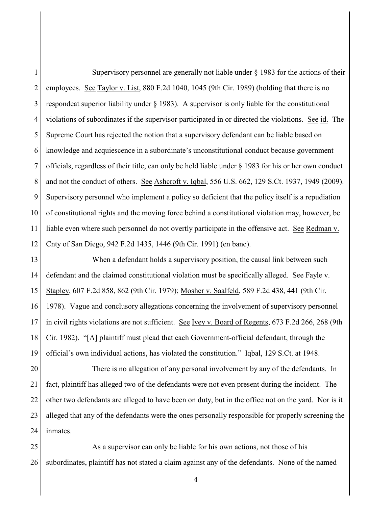1 2 3 4 5 6 7 8 9 10 11 12 Supervisory personnel are generally not liable under § 1983 for the actions of their employees. See Taylor v. List, 880 F.2d 1040, 1045 (9th Cir. 1989) (holding that there is no respondeat superior liability under § 1983). A supervisor is only liable for the constitutional violations of subordinates if the supervisor participated in or directed the violations. See id. The Supreme Court has rejected the notion that a supervisory defendant can be liable based on knowledge and acquiescence in a subordinate's unconstitutional conduct because government officials, regardless of their title, can only be held liable under § 1983 for his or her own conduct and not the conduct of others. See Ashcroft v. Iqbal, 556 U.S. 662, 129 S.Ct. 1937, 1949 (2009). Supervisory personnel who implement a policy so deficient that the policy itself is a repudiation of constitutional rights and the moving force behind a constitutional violation may, however, be liable even where such personnel do not overtly participate in the offensive act. See Redman v. Cnty of San Diego, 942 F.2d 1435, 1446 (9th Cir. 1991) (en banc).

13 14 15 16 17 18 19 When a defendant holds a supervisory position, the causal link between such defendant and the claimed constitutional violation must be specifically alleged. See Fayle v. Stapley, 607 F.2d 858, 862 (9th Cir. 1979); Mosher v. Saalfeld, 589 F.2d 438, 441 (9th Cir. 1978). Vague and conclusory allegations concerning the involvement of supervisory personnel in civil rights violations are not sufficient. See Ivey v. Board of Regents, 673 F.2d 266, 268 (9th Cir. 1982). "[A] plaintiff must plead that each Government-official defendant, through the official's own individual actions, has violated the constitution." Iqbal, 129 S.Ct. at 1948.

20 21 22 23 24 There is no allegation of any personal involvement by any of the defendants. In fact, plaintiff has alleged two of the defendants were not even present during the incident. The other two defendants are alleged to have been on duty, but in the office not on the yard. Nor is it alleged that any of the defendants were the ones personally responsible for properly screening the inmates.

25 26 As a supervisor can only be liable for his own actions, not those of his subordinates, plaintiff has not stated a claim against any of the defendants. None of the named

4